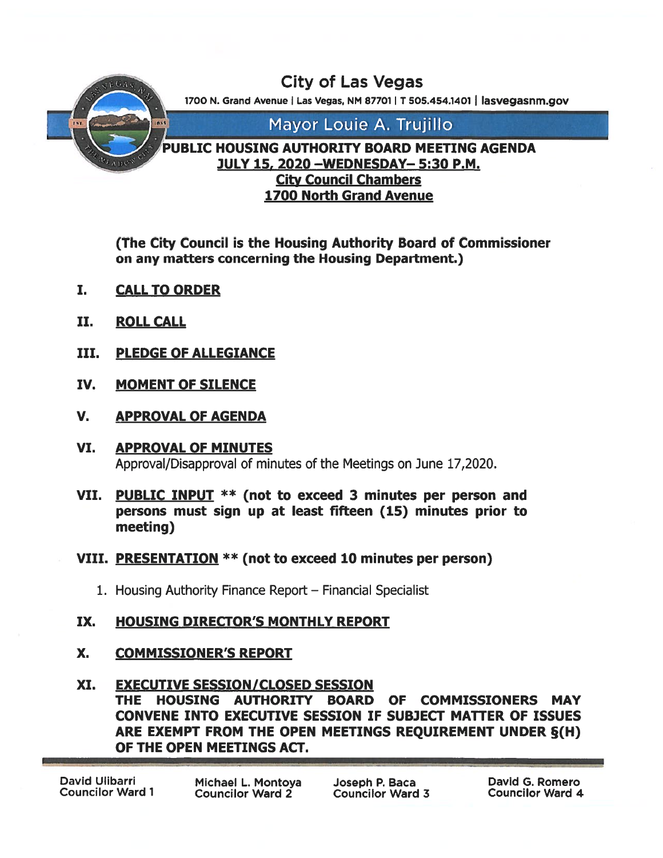

(The City Council is the Housing Authority Board of Commissioner on any matters concerning the Housing Department.)

- I. CALLTO ORDER
- II. ROLL CALL
- IlL PLEDGE OF ALLEGIANCE
- IV. MOMENT OF SILENCE
- V. APPROVAL OF AGENDA
- VI. APPROVAL OF MINUTES Approval/Disapproval of minutes of the Meetings on June 17,2020.
- VII. PUBLIC INPUT \*\* (not to exceed 3 minutes per person and persons must sign up at least fifteen (15) minutes prior to meeting)
- VIII. PRESENTATION \*\* (not to exceed 10 minutes per person)
	- 1. Housing Authority Finance Report Financial Specialist

### IX. HOUSING DIRECTOR'S MONTHLY REPORT

- X. COMMISSIONER'S REPORT
- XI. EXECUTIVE SESSION/CLOSED SESSION THE HOUSING AUTHORITY BOARD OF COMMISSIONERS MAY CONVENE INTO EXECUTIVE SESSION IF SUBJECT MATTER OF ISSUES ARE EXEMPT FROM THE OPEN MEETINGS REQUIREMENT UNDER §(H) OF THE OPEN MEETINGS ACT.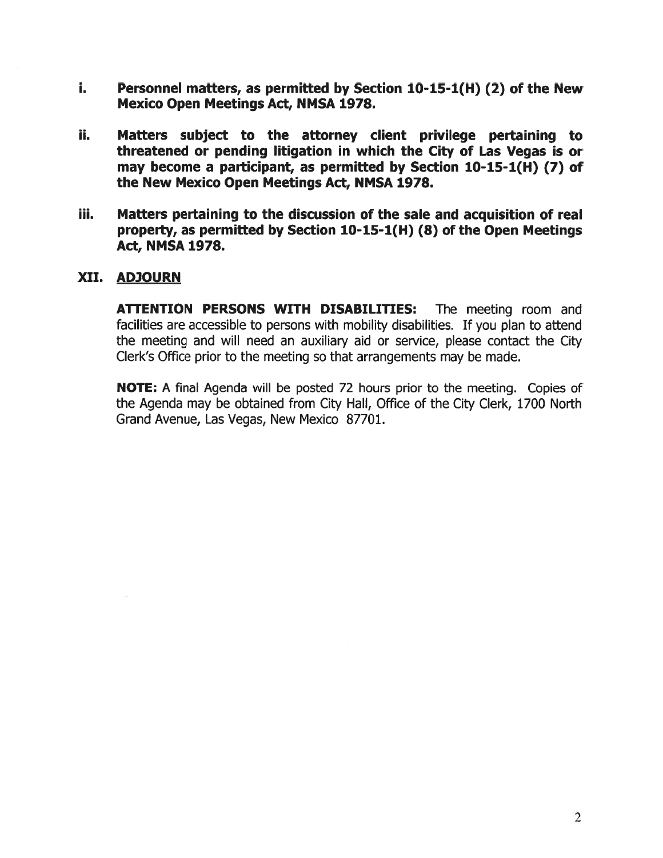- i. Personnel matters, as permitted by Section 10-15-1(H) (2) of the New Mexico Open Meetings Act, NMSA 1978.
- ii. Matters subject to the attorney client privilege pertaining to threatened or pending litigation in which the City of Las Vegas is or may become <sup>a</sup> participant, as permitted by Section 10-15-1(H) (7) of the New Mexico Open Meetings Act, NMSA 1978.
- iii. Matters pertaining to the discussion of the sale and acquisition of real property, as permitted by Section 10-15-1(H) (8) of the Open Meetings Act, NMSA 1978.

#### XII. ADJOURN

ATTENTION PERSONS WITH DISABILITIES: The meeting room and facilities are accessible to persons with mobility disabilities. If you plan to attend the meeting and will need an auxiliary aid or service, please contact the City Clerk's Office prior to the meeting so that arrangements may be made.

NOTE: A final Agenda will be posted 72 hours prior to the meeting. Copies of the Agenda may be obtained from City Hall, Office of the City Clerk, 1700 North Grand Avenue, Las Vegas, New Mexico 87701.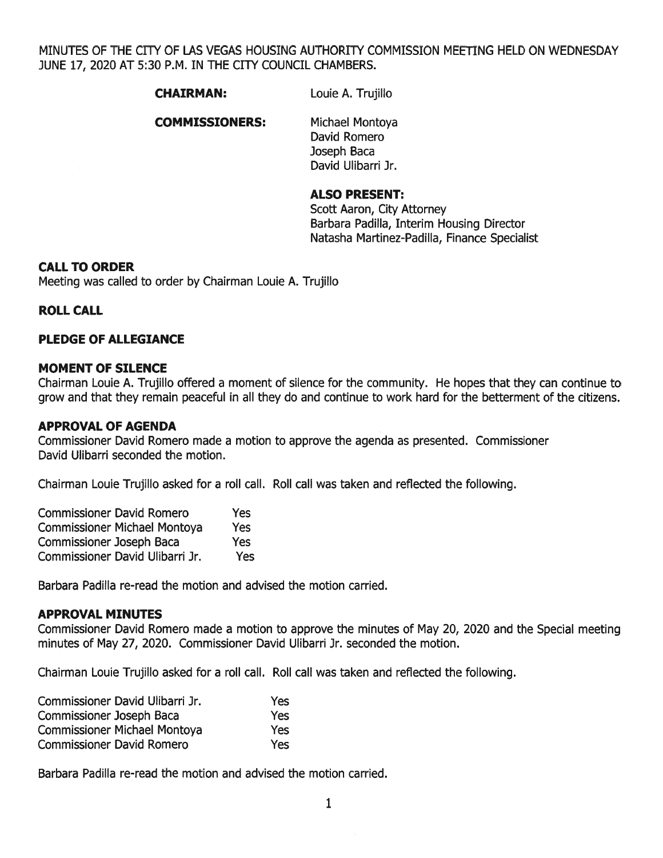MINUTES OF THE CITY OF LAS VEGAS HOUSING AUTHORITY COMMISSION MEETING HELD ON WEDNESDAY JUNE 17, 2020 AT 5:30 P.M. IN THE CITY COUNCIL CHAMBERS.

CHAIRMAN: Louie A. Trujillo

#### COMMISSIONERS: Michael Montoya

David Romero Joseph Baca David Ulibarri Jr.

#### ALSO PRESENT:

Scott Aaron, City Attorney Barbara Padilla, Interim Housing Director Natasha Martinez-PadiIla, Finance Specialist

#### CALL TO ORDER

Meeting was called to order by Chairman Loule A. Trujillo

#### ROLL CALL

#### PLEDGE OF ALLEGIANCE

#### MOMENT OF SILENCE

Chairman Louie A. Trujillo offered <sup>a</sup> moment of silence for the community. He hopes that they can continue to grow and that they remain peaceful in all they do and continue to work hard for the betterment of the citizens.

#### APPROVAL OF AGENDA

Commissioner David Romero made <sup>a</sup> motion to approve the agenda as presented. Commissioner David Ulibarri seconded the motion.

Chairman Louie Trujillo asked for <sup>a</sup> roll call. Roll call was taken and reflected the following.

| <b>Commissioner David Romero</b>    | Yes        |
|-------------------------------------|------------|
| <b>Commissioner Michael Montoya</b> | <b>Yes</b> |
| <b>Commissioner Joseph Baca</b>     | Yes        |
| Commissioner David Ulibarri Jr.     | Yes        |

Barbara Padilla re-read the motion and advised the motion carried.

#### APPROVAL MINUTES

Commissioner David Romero made <sup>a</sup> motion to approve the minutes of May 20, 2020 and the Special meeting minutes of May 27, 2020. Commissioner David Ulibarri Jr. seconded the motion.

Chairman Louie Trujillo asked for <sup>a</sup> roll call. Roll call was taken and reflected the following.

| Commissioner David Ulibarri Jr.     | Yes  |
|-------------------------------------|------|
| <b>Commissioner Joseph Baca</b>     | Yes  |
| <b>Commissioner Michael Montoya</b> | Yes: |
| <b>Commissioner David Romero</b>    | Yes  |

Barbara Padilla re-read the motion and advised the motion carried.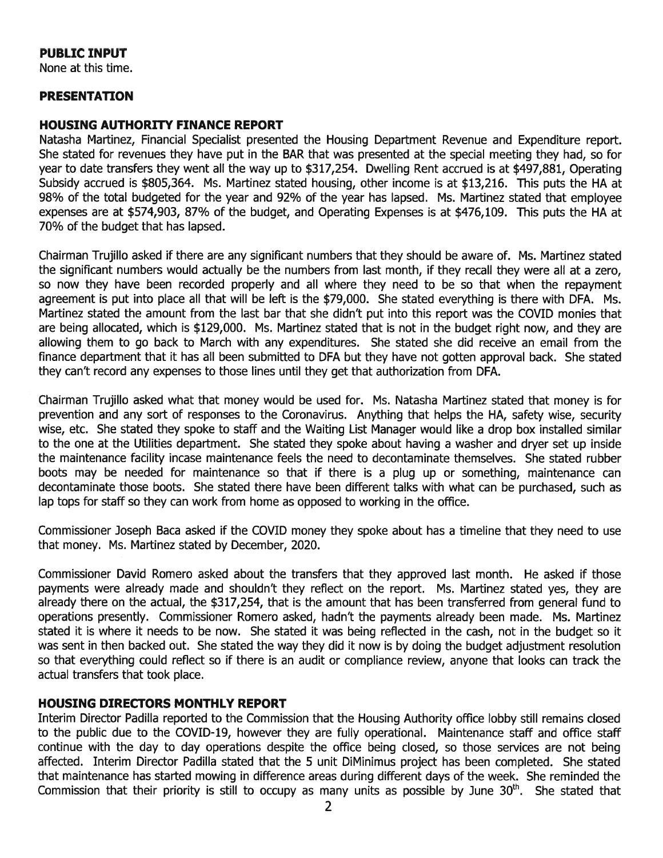#### PUBLIC INPUT

None at this time.

#### PRESENTATION

#### HOUSING AUTHORITY FINANCE REPORT

Natasha Martinez, Financial Specialist presented the Housing Department Revenue and Expenditure report. She stated for revenues they have pu<sup>t</sup> in the BAR that was presented at the special meeting they had, so for year to date transfers they went all the way up to \$317,254. Dwelling Rent accrued is at \$497,881, Operating Subsidy accrued is \$805,364. Ms. Martinez stated housing, other income is at \$13,216. This puts the HA at 98% of the total budgeted for the year and 92% of the year has lapsed. Ms. Martinez stated that employee expenses are at \$574,903, 87% of the budget, and Operating Expenses is at \$476,109. This puts the HA at 70% of the budget that has lapsed.

Chairman Trujillo asked if there are any significant numbers that they should be aware of. Ms. Martinez stated the significant numbers would actually be the numbers from last month, if they recall they were all at <sup>a</sup> zero, so now they have been recorded properly and all where they need to be so that when the repaymen<sup>t</sup> agreemen<sup>t</sup> is pu<sup>t</sup> into place all that will be left is the \$79,000. She stated everything is there with DFA. Ms. Martinez stated the amount from the last bar that she didn't pu<sup>t</sup> into this repor<sup>t</sup> was the COVID monies that are being allocated, which is \$129,000. Ms. Martinez stated that is not in the budget right now, and they are allowing them to go back to March with any expenditures. She stated she did receive an email from the finance department that it has all been submitted to DFA but they have not gotten approval back. She stated they can't record any expenses to those lines until they ge<sup>t</sup> that authorization from DFA.

Chairman Trujillo asked what that money would be used for. Ms. Natasha Martinez stated that money is for prevention and any sort of responses to the Coronavirus. Anything that helps the HA, safety wise, security wise, etc. She stated they spoke to staff and the Waiting List Manager would like <sup>a</sup> drop box installed similar to the one at the Utilities department. She stated they spoke about having <sup>a</sup> washer and dryer set up inside the maintenance facility incase maintenance feels the need to decontaminate themselves. She stated rubber boots may be needed for maintenance so that if there is <sup>a</sup> plug up or something, maintenance can decontaminate those boots. She stated there have been different talks with what can be purchased, such as lap tops for staff so they can work from home as opposed to working in the office.

Commissioner Joseph Baca asked if the COVID money they spoke about has <sup>a</sup> timeline that they need to use that money. Ms. Martinez stated by December, 2020.

Commissioner David Romero asked about the transfers that they approved last month. He asked if those payments were already made and shouldn't they reflect on the report. Ms. Martinez stated yes, they are already there on the actual, the \$317,254, that is the amount that has been transferred from general fund to operations presently. Commissioner Romero asked, hadn't the payments already been made. Ms. Martinez stated it is where it needs to be now. She stated it was being reflected in the cash, not in the budget so it was sent in then backed out. She stated the way they did it now is by doing the budget adjustment resolution so that everything could reflect so if there is an audit or compliance review, anyone that looks can track the actual transfers that took place.

#### HOUSING DIRECTORS MONTHLY REPORT

Interim Director Padilla reported to the Commission that the Housing Authority office lobby still remains closed to the public due to the COVID-19, however they are fully operational. Maintenance staff and office staff continue with the day to day operations despite the office being closed, so those services are not being affected. Interim Director Padilla stated that the 5 unit DiMinimus project has been completed. She stated that maintenance has started mowing in difference areas during different days of the week. She reminded the Commission that their priority is still to occupy as many units as possible by June 30<sup>th</sup>. She stated that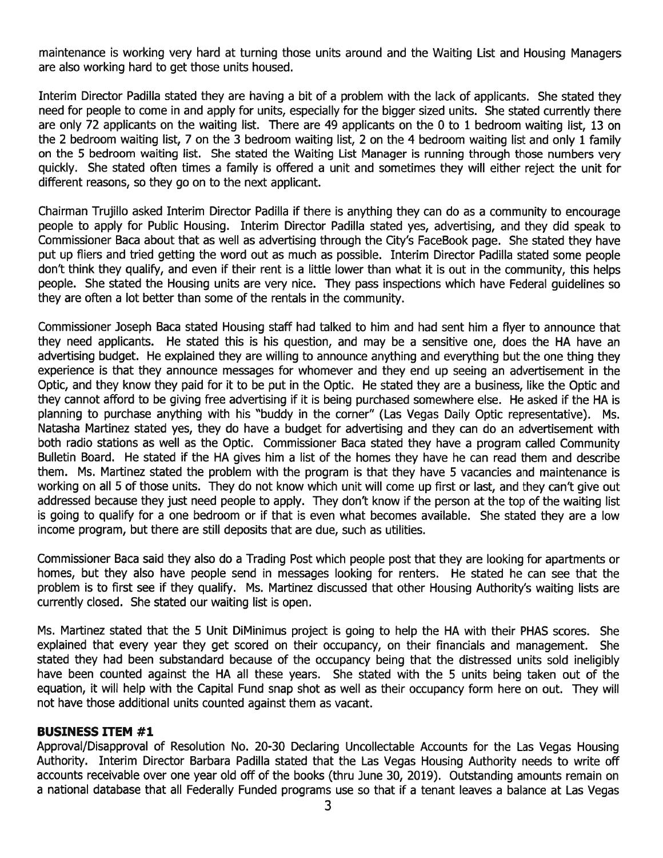maintenance is working very hard at turning those units around and the Waiting List and Housing Managers are also working hard to ge<sup>t</sup> those units housed.

Interim Director Padilla stated they are having <sup>a</sup> bit of <sup>a</sup> problem with the lack of applicants. She stated they need for people to come in and apply for units, especially for the bigger sized units. She stated currently there are only 72 applicants on the waiting list. There are 49 applicants on the 0 to 1 bedroom waiting list, 13 on the 2 bedroom waiting list, <sup>7</sup> on the 3 bedroom waiting list, 2 on the 4 bedroom waiting list and only 1 family on the 5 bedroom waiting list. She stated the Waiting List Manager is running through those numbers very quickly. She stated often times <sup>a</sup> family is offered <sup>a</sup> unit and sometimes they will either reject the unit for different reasons, so they go on to the next applicant.

Chairman Trujillo asked Interim Director Padilla if there is anything they can do as <sup>a</sup> community to encourage people to apply for Public Housing. Interim Director Padilla stated yes, advertising, and they did speak to Commissioner Baca about that as well as advertising through the City's FaceBook page. She stated they have pu<sup>t</sup> up fliers and tried getting the word out as much as possible. Interim Director Padilla stated some people don't think they qualify, and even if their rent is <sup>a</sup> little lower than what it is out in the community, this helps people. She stated the Housing units are very nice. They pass inspections which have Federal guidelines so they are often <sup>a</sup> lot better than some of the rentals in the community.

Commissioner Joseph Baca stated Housing staff had talked to him and had sent him <sup>a</sup> flyer to announce that they need applicants. He stated this is his question, and may be <sup>a</sup> sensitive one, does the HA have an advertising budget. He explained they are willing to announce anything and everything but the one thing they experience is that they announce messages for whomever and they end up seeing an advertisement in the Optic, and they know they paid for it to be pu<sup>t</sup> in the Optic. He stated they are <sup>a</sup> business, like the Optic and they cannot afford to be giving free advertising if it is being purchased somewhere else. He asked if the HA is planning to purchase anything with his "buddy in the corner" (Las Vegas Daily Optic representative). Ms. Natasha Martinez stated yes, they do have <sup>a</sup> budget for advertising and they can do an advertisement with both radio stations as well as the Optic. Commissioner Baca stated they have <sup>a</sup> program called Community Bulletin Board. He stated if the HA gives him <sup>a</sup> list of the homes they have he can read them and describe them. Ms. Martinez stated the problem with the program is that they have 5 vacancies and maintenance is working on all 5 of those units. They do not know which unit will come up first or last, and they can't <sup>g</sup>ive out addressed because they just need people to apply. They don't know if the person at the top of the waiting list is going to qualify for <sup>a</sup> one bedroom or if that is even what becomes available. She stated they are <sup>a</sup> low income program, but there are still deposits that are due, such as utilities.

Commissioner Baca said they also do <sup>a</sup> Trading Post which people pos<sup>t</sup> that they are looking for apartments or homes, but they also have people send in messages looking for renters. He stated he can see that the problem is to first see if they qualify. Ms. Martinez discussed that other Housing Authority's waiting lists are currently closed. She stated our waiting list is open.

Ms. Martinez stated that the 5 Unit DiMinimus project is going to help the HA with their PHAS scores. She explained that every year they ge<sup>t</sup> scored on their occupancy, on their financials and management. She stated they had been substandard because of the occupancy being that the distressed units sold ineligibly have been counted against the HA all these years. She stated with the 5 units being taken out of the equation, it will help with the Capital Fund snap shot as well as their occupancy form here on out. They will not have those additional units counted against them as vacant.

#### BUSINESS ITEM #1

Approval/Disapproval of Resolution No. 20-30 Declaring Uncollectable Accounts for the Las Vegas Housing Authority. Interim Director Barbara Padilla stated that the Las Vegas Housing Authority needs to write off accounts receivable over one year old off of the books (thru June 30, 2019). Outstanding amounts remain on <sup>a</sup> national database that all Federally Funded programs use so that if <sup>a</sup> tenant leaves <sup>a</sup> balance at Las Vegas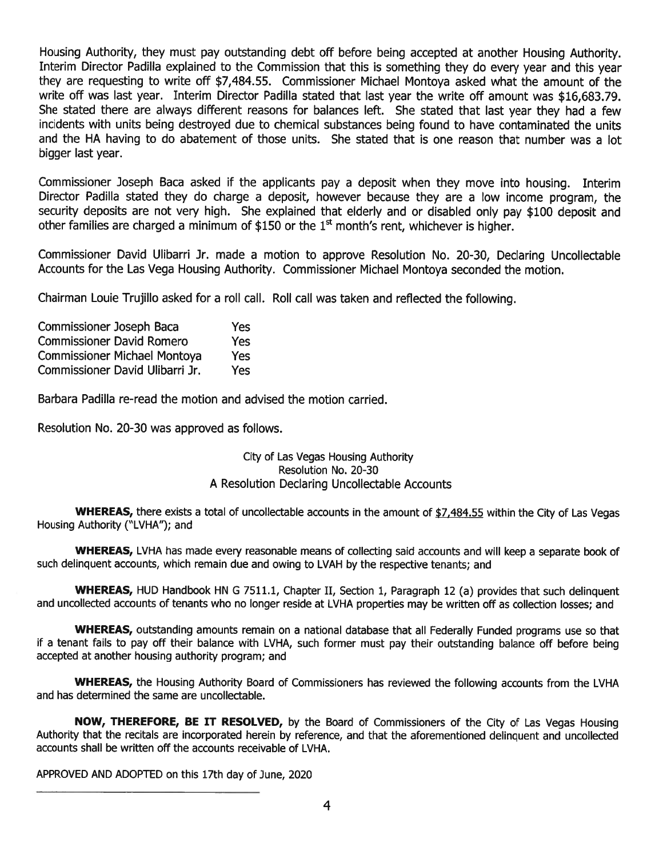Housing Authority, they must pay outstanding debt off before being accepted at another Housing Authority. Interim Director Padilla explained to the Commission that this is something they do every year and this year they are requesting to write off \$7,484.55. Commissioner Michael Montoya asked what the amount of the write off was last year. Interim Director Padilla stated that last year the write off amount was \$16,683.79. She stated there are always different reasons for balances left. She stated that last year they had <sup>a</sup> few incidents with units being destroyed due to chemical substances being found to have contaminated the units and the HA having to do abatement of those units. She stated that is one reason that number was <sup>a</sup> lot bigger last year.

Commissioner Joseph Baca asked if the applicants pay <sup>a</sup> deposit when they move into housing. Interim Director Padilla stated they do charge <sup>a</sup> deposit, however because they are <sup>a</sup> low income program, the security deposits are not very high. She explained that elderly and or disabled only pay \$100 deposit and other families are charged a minimum of \$150 or the  $1<sup>st</sup>$  month's rent, whichever is higher.

Commissioner David Ulibarri Jr. made <sup>a</sup> motion to approve Resolution No. 20-30, Declaring Uncollectable Accounts for the Las Vega Housing Authority. Commissioner Michael Montoya seconded the motion.

Chairman Louie Trujillo asked for <sup>a</sup> roll call. Roll call was taken and reflected the following.

| <b>Commissioner Joseph Baca</b>     | Yes |
|-------------------------------------|-----|
| <b>Commissioner David Romero</b>    | Yes |
| <b>Commissioner Michael Montoya</b> | Yes |
| Commissioner David Ulibarri Jr.     | Yes |

Barbara Padilla re-read the motion and advised the motion carried.

Resolution No. 20-30 was approved as follows.

#### City of Las Vegas Housing Authority Resolution No. 20-30 A Resolution Declaring Uncollectable Accounts

WHEREAS, there exists a total of uncollectable accounts in the amount of \$7,484.55 within the City of Las Vegas Housing Authority ("LVHA"); and

WHEREAS, LVHA has made every reasonable means of collecting said accounts and will keep a separate book of such delinquent accounts, which remain due and owing to LVAH by the respective tenants; and

WHEREAS, HUD Handbook HN G 7511.1, Chapter II, Section 1, Paragraph 12 (a) provides that such delinquent and uncollected accounts of tenants who no longer reside at LVHA properties may be written off as collection losses; and

WHEREAS, outstanding amounts remain on a national database that all Federally Funded programs use so that if <sup>a</sup> tenant fails to pay off their balance with LVHA, such former must pay their outstanding balance off before being accepted at another housing authority program; and

WHEREAS, the Housing Authority Board of Commissioners has reviewed the following accounts from the LVHA and has determined the same are uncollectable.

NOW, THEREFORE, BE IT RESOLVED, by the Board of Commissioners of the City of Las Vegas Housing Authority that the recitals are incorporated herein by reference, and that the aforementioned delinquent and uncollected accounts shall be written off the accounts receivable of LVHA.

APPROVED AND ADOPTED on this 17th day of June, 2020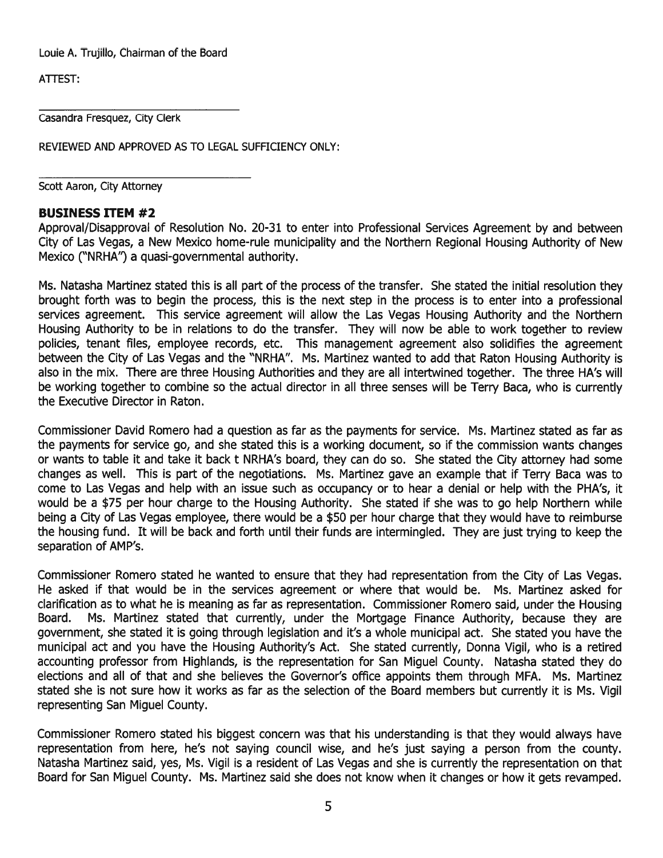Louie A. Trujillo, Chairman of the Board

ATTEST:

Casandra Fresquez, City Clerk

REVIEWED AND APPROVED AS TO LEGAL SUFFICIENCY ONLY:

Scott Aaron, City Attorney

#### BUSINESS ITEM #2

Approval/Disapproval of Resolution No. 20-31 to enter into Professional Services Agreement by and between City of Las Vegas, <sup>a</sup> New Mexico home-rule municipality and the Northern Regional Housing Authority of New Mexico ("NRHA") a quasi-governmental authority.

Ms. Natasha Martinez stated this is all par<sup>t</sup> of the process of the transfer. She stated the initial resolution they brought forth was to begin the process, this is the next step in the process is to enter into <sup>a</sup> professional services agreement. This service agreemen<sup>t</sup> will allow the Las Vegas Housing Authority and the Northern Housing Authority to be in relations to do the transfer. They will now be able to work together to review policies, tenant files, employee records, etc. This management agreement also solidifies the agreement between the City of Las Vegas and the "NRHA". Ms. Martinez wanted to add that Raton Housing Authority is also in the mix. There are three Housing Authorities and they are all intertwined together. The three HA's will be working together to combine so the actual director in all three senses will be Terry Baca, who is currently the Executive Director in Raton.

Commissioner David Romero had <sup>a</sup> question as far as the payments for service. Ms. Martinez stated as far as the payments for service go, and she stated this is <sup>a</sup> working document, so if the commission wants changes or wants to table it and take it back <sup>t</sup> NRHA's board, they can do so. She stated the City attorney had some changes as well. This is par<sup>t</sup> of the negotiations. Ms. Martinez gave an example that if Terry Baca was to come to Las Vegas and help with an issue such as occupancy or to hear <sup>a</sup> denial or help with the PHA's, it would be <sup>a</sup> \$75 per hour charge to the Housing Authority. She stated if she was to go help Northern while being <sup>a</sup> City of Las Vegas employee, there would be <sup>a</sup> \$50 per hour charge that they would have to reimburse the housing fund. It will be back and forth until their funds are intermingled. They are just trying to keep the separation of AMP's.

Commissioner Romero stated he wanted to ensure that they had representation from the City of Las Vegas. He asked if that would be in the services agreemen<sup>t</sup> or where that would be. Ms. Martinez asked for clarification as to what he is meaning as far as representation. Commissioner Romero said, under the Housing Board. Ms. Martinez stated that currently, under the Mortgage Finance Authority, because they are government, she stated it is going through legislation and it's <sup>a</sup> whole municipal act. She stated you have the municipal act and you have the Housing Authority's Act. She stated currently, Donna Vigil, who is <sup>a</sup> retired accounting professor from Highlands, is the representation for San Miguel County. Natasha stated they do elections and all of that and she believes the Governor's office appoints them through MFA. Ms. Martinez stated she is not sure how it works as far as the selection of the Board members but currently it is Ms. Vigil representing San Miguel County.

Commissioner Romero stated his biggest concern was that his understanding is that they would always have representation from here, he's not saying council wise, and he's just saying <sup>a</sup> person from the county. Natasha Martinez said, yes, Ms. Vigil is <sup>a</sup> resident of Las Vegas and she is currently the representation on that Board for San Miguel County. Ms. Martinez said she does not know when it changes or how it gets revamped.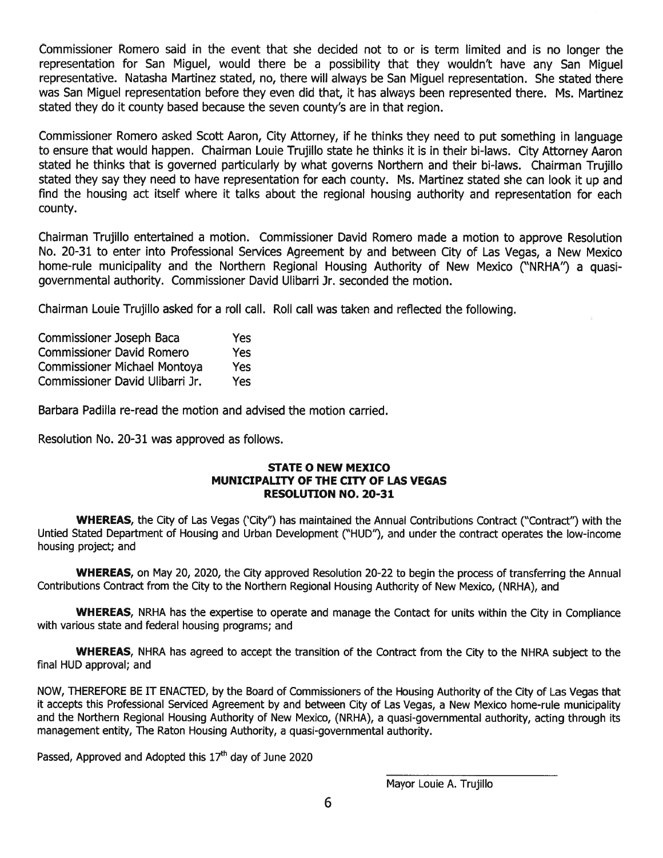Commissioner Romero said in the event that she decided not to or is term limited and is no longer the representation for San Miguel, would there be <sup>a</sup> possibility that they wouldn't have any San Miguel representative. Natasha Martinez stated, no, there will always be San Miguel representation. She stated there was San Miguel representation before they even did that, it has always been represented there. Ms. Martinez stated they do it county based because the seven county's are in that region.

Commissioner Romero asked Scott Aaron, City Attorney, if he thinks they need to pu<sup>t</sup> something in language to ensure that would happen. Chairman Louie Trujillo state he thinks it is in their bi-laws. City Attorney Aaron stated he thinks that is governed particularly by what governs Northern and their bi-laws. Chairman Trujillo stated they say they need to have representation for each county. Ms. Martinez stated she can look it up and find the housing act itself where it talks about the regional housing authority and representation for each county.

Chairman Trujillo entertained <sup>a</sup> motion. Commissioner David Romero made <sup>a</sup> motion to approve Resolution No. 20-31 to enter into Professional Services Agreement by and between City of Las Vegas, <sup>a</sup> New Mexico home-rule municipality and the Northern Regional Housing Authority of New Mexico ("NRHA") <sup>a</sup> quasigovernmental authority. Commissioner David Ulibarri Jr. seconded the motion.

Chairman Louie Trujillo asked for <sup>a</sup> roll call. Roll call was taken and reflected the following.

| Commissioner Joseph Baca            | Yes |
|-------------------------------------|-----|
| <b>Commissioner David Romero</b>    | Yes |
| <b>Commissioner Michael Montoya</b> | Yes |
| Commissioner David Ulibarri Jr.     | Yes |

Barbara Padilla re-read the motion and advised the motion carried.

Resolution No. 20-31 was approved as follows.

#### STATE 0 NEW MEXICO MUNICIPALITY OF THE CITY OF LAS VEGAS RESOLUTION NO. 20-31

WHEREAS, the City of Las Vegas ('City") has maintained the Annual Contributions Contract ("Contract") with the Untied Stated Department of Housing and Urban Development ("HUD"), and under the contract operates the low-income housing project; and

WHEREAS, on May 20, 2020, the City approved Resolution 20-22 to begin the process of transferring the Annual Contributions Contract from the City to the Northern Regional Housing Authority of New Mexico, (NRHA), and

WHEREAS, NRHA has the expertise to operate and manage the Contact for units within the City in Compliance with various state and federal housing programs; and

WHEREAS, NHRA has agreed to accep<sup>t</sup> the transition of the Contract from the City to the NHRA subject to the final HUD approval; and

NOW, THEREFORE BE IT ENACTED, by the Board of Commissioners of the Housing Authority of the City of Las Vegas that it accepts this Professional Serviced Agreement by and between City of Las Vegas, <sup>a</sup> New Mexico home-rule municipality and the Northern Regional Housing Authority of New Mexico, (NRHA), <sup>a</sup> quasi-governmental authority, acting through its managemen<sup>t</sup> entity, The Raton Housing Authority, <sup>a</sup> quasi-governmental authority.

Passed, Approved and Adopted this  $17<sup>th</sup>$  day of June 2020

Mayor Louie A. Trujillo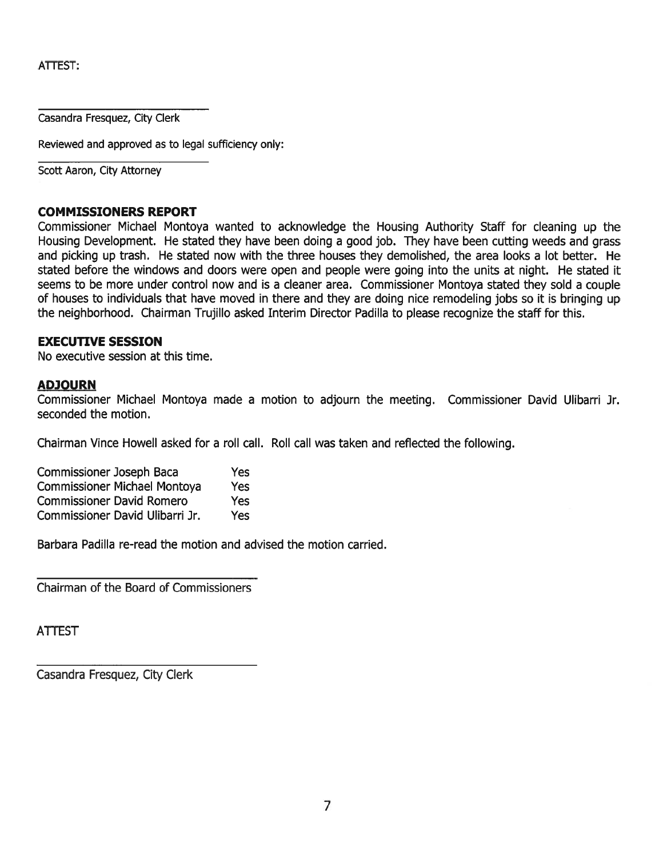ATTEST:

Casandra Fresquez, City Clerk

Reviewed and approved as to legal sufficiency only:

Scott Aaron, City Attorney

#### COMMISSIONERS REPORT

Commissioner Michael Montoya wanted to acknowledge the Housing Authority Staff for cleaning up the Housing Development. He stated they have been doing <sup>a</sup> good job. They have been cutting weeds and grass and picking up trash. He stated now with the three houses they demolished, the area looks <sup>a</sup> lot better. He stated before the windows and doors were open and people were going into the units at night. He stated it seems to be more under control now and is <sup>a</sup> cleaner area. Commissioner Montoya stated they sold <sup>a</sup> couple of houses to individuals that have moved in there and they are doing nice remodeling jobs so it is bringing up the neighborhood. Chairman Trujillo asked Interim Director Padilla to please recognize the staff for this.

#### EXECUTIVE SESSION

No executive session at this time.

#### ADJOURN

Commissioner Michael Montoya made <sup>a</sup> motion to adjourn the meeting. Commissioner David Ulibarri Jr. seconded the motion.

Chairman Vince Howell asked for <sup>a</sup> roll call. Roll call was taken and reflected the following.

| Commissioner Joseph Baca            | <b>Yes</b> |
|-------------------------------------|------------|
| <b>Commissioner Michael Montoya</b> | Yes        |
| <b>Commissioner David Romero</b>    | Yes        |
| Commissioner David Ulibarri Jr.     | <b>Yes</b> |

Barbara Padilla re-read the motion and advised the motion carried.

Chairman of the Board of Commissioners

ATTEST

Casandra Fresquez, City Clerk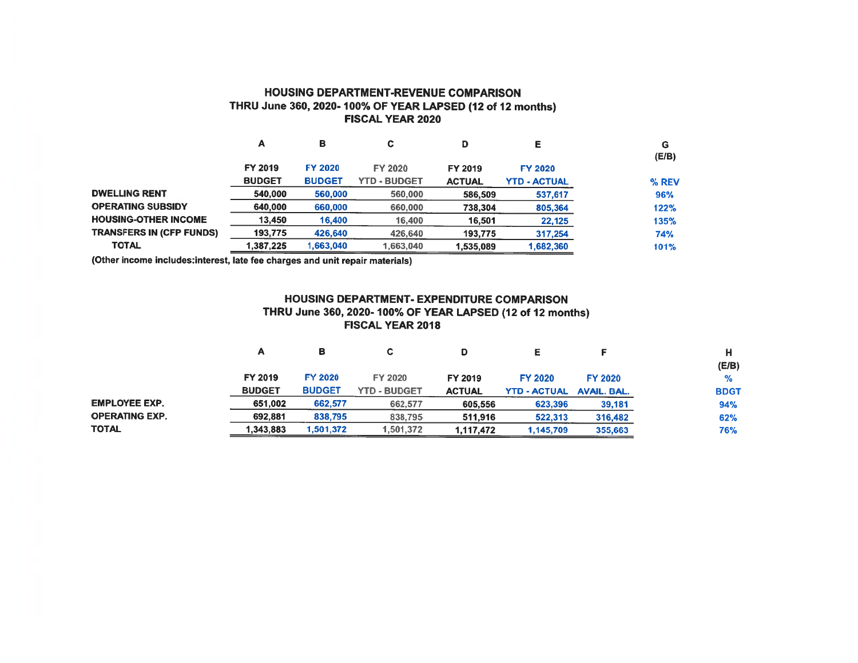#### HOUSING DEPARTMENT-REVENUE COMPARISON THRU June 360, 2020- 100% OF YEAR LAPSED (12 of 12 months) FISCAL YEAR 2020

|                                 | A             | в              | С                   | D             | Е                   | G<br>(E/B) |
|---------------------------------|---------------|----------------|---------------------|---------------|---------------------|------------|
|                                 | FY 2019       | <b>FY 2020</b> | FY 2020             | FY 2019       | <b>FY 2020</b>      |            |
|                                 | <b>BUDGET</b> | <b>BUDGET</b>  | <b>YTD - BUDGET</b> | <b>ACTUAL</b> | <b>YTD - ACTUAL</b> | % REV      |
| <b>DWELLING RENT</b>            | 540,000       | 560,000        | 560,000             | 586,509       | 537,617             | 96%        |
| <b>OPERATING SUBSIDY</b>        | 640,000       | 660,000        | 660,000             | 738,304       | 805,364             | 122%       |
| <b>HOUSING-OTHER INCOME</b>     | 13,450        | 16,400         | 16,400              | 16,501        | 22,125              | 135%       |
| <b>TRANSFERS IN (CFP FUNDS)</b> | 193,775       | 426,640        | 426,640             | 193,775       | 317,254             | 74%        |
| <b>TOTAL</b>                    | 1,387,225     | 1,663,040      | 1,663,040           | 1,535,089     | 1,682,360           | 101%       |

(Other income includes:interest, late fee charges and unit repair materials)

#### HOUSING DEPARTMENT- EXPENDITURE COMPARISON THRU June 360, 2020- 100% OF YEAR LAPSED (12 of 12 months) FISCAL YEAR 2018

|                       | А             | в              | С                   |               |                     |                    |               |
|-----------------------|---------------|----------------|---------------------|---------------|---------------------|--------------------|---------------|
|                       |               |                |                     |               |                     |                    | (E/B)         |
|                       | FY 2019       | <b>FY 2020</b> | FY 2020             | FY 2019       | <b>FY 2020</b>      | <b>FY 2020</b>     | $\frac{9}{6}$ |
|                       | <b>BUDGET</b> | <b>BUDGET</b>  | <b>YTD - BUDGET</b> | <b>ACTUAL</b> | <b>YTD - ACTUAL</b> | <b>AVAIL, BAL.</b> | <b>BDGT</b>   |
| <b>EMPLOYEE EXP.</b>  | 651,002       | 662,577        | 662,577             | 605,556       | 623,396             | 39,181             | 94%           |
| <b>OPERATING EXP.</b> | 692,881       | 838,795        | 838,795             | 511.916       | 522,313             | 316,482            | 62%           |
| <b>TOTAL</b>          | 1,343,883     | 1,501,372      | 1,501,372           | 1,117,472     | 1,145,709           | 355,663            | 76%           |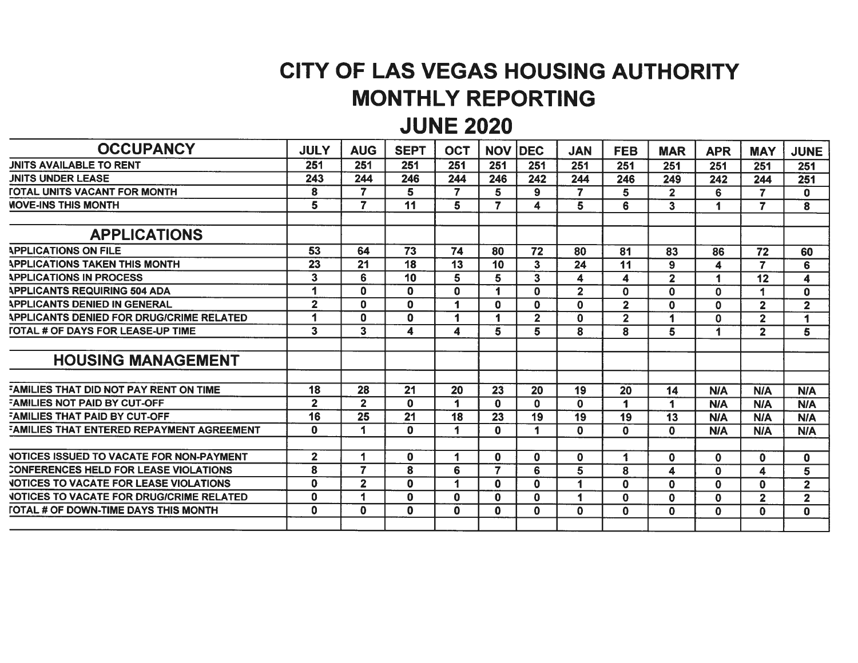# CITY OF LAS VEGAS HOUSING AUTHORITY MONTHLY REPORTING

## JUNE 2020

| <b>OCCUPANCY</b>                                 | <b>JULY</b>    | <b>AUG</b>     | <b>SEPT</b>     | <b>OCT</b>      | <b>NOV</b>      | <b>IDEC</b>             | <b>JAN</b>              | <b>FEB</b>              | <b>MAR</b>              | <b>APR</b>  | <b>MAY</b>              | <b>JUNE</b>             |
|--------------------------------------------------|----------------|----------------|-----------------|-----------------|-----------------|-------------------------|-------------------------|-------------------------|-------------------------|-------------|-------------------------|-------------------------|
| <b>JNITS AVAILABLE TO RENT</b>                   | 251            | 251            | 251             | 251             | 251             | 251                     | 251                     | 251                     | 251                     | 251         | 251                     | 251                     |
| <b>JNITS UNDER LEASE</b>                         | 243            | 244            | 246             | 244             | 246             | 242                     | 244                     | 246                     | 249                     | 242         | 244                     | 251                     |
| <b><i>FOTAL UNITS VACANT FOR MONTH</i></b>       | 8              | $\overline{7}$ | 5               | 7               | 5               | 9                       | $\overline{7}$          | 5                       | $\overline{2}$          | 6           | $\overline{\mathbf{z}}$ | $\mathbf{0}$            |
| <b><i>MOVE-INS THIS MONTH</i></b>                | 5              | $\overline{7}$ | 11              | 5.              | $\overline{7}$  | 4                       | 5                       | 6                       | $\mathbf{3}$            | 1           | $\overline{7}$          | 8                       |
| <b>APPLICATIONS</b>                              |                |                |                 |                 |                 |                         |                         |                         |                         |             |                         |                         |
| <b>APPLICATIONS ON FILE</b>                      | 53             | 64             | $\overline{73}$ | 74              | 80              | 72                      | 80                      | 81                      | 83                      | 86          | 72                      | 60                      |
| <b>APPLICATIONS TAKEN THIS MONTH</b>             | 23             | 21             | 18              | 13              | 10              | 3                       | 24                      | 11                      | 9                       | 4           | $\overline{7}$          | 6                       |
| <b>APPLICATIONS IN PROCESS</b>                   | $\mathbf{3}$   | 6              | 10              | 5               | 5               | 3                       | 4                       | 4                       | $\overline{\mathbf{2}}$ | -1          | 12                      | $\overline{\mathbf{4}}$ |
| <b>APPLICANTS REQUIRING 504 ADA</b>              |                | $\mathbf{0}$   | $\mathbf 0$     | 0               | 1               | 0                       | $\overline{\mathbf{2}}$ | $\mathbf 0$             | $\mathbf 0$             | $\mathbf 0$ |                         | $\mathbf 0$             |
| <b>APPLICANTS DENIED IN GENERAL</b>              | $\mathbf{2}$   | 0              | $\mathbf 0$     | 1               | $\mathbf 0$     | 0                       | $\mathbf 0$             | $\overline{2}$          | $\mathbf 0$             | $\mathbf 0$ | $\overline{2}$          | $\overline{\mathbf{2}}$ |
| <b>APPLICANTS DENIED FOR DRUG/CRIME RELATED</b>  |                | 0              | $\mathbf 0$     | 4               |                 | $\overline{\mathbf{2}}$ | $\mathbf{0}$            | $\overline{\mathbf{2}}$ | 1                       | $\mathbf 0$ | $\overline{\mathbf{2}}$ | 1                       |
| <b>TOTAL # OF DAYS FOR LEASE-UP TIME</b>         | $\mathbf{3}$   | 3              | 4               | 4               | 5               | 5                       | 8                       | 8                       | 5                       | 1           | $\overline{2}$          | 5                       |
| <b>HOUSING MANAGEMENT</b>                        |                |                |                 |                 |                 |                         |                         |                         |                         |             |                         |                         |
| FAMILIES THAT DID NOT PAY RENT ON TIME           | 18             | 28             | 21              | 20              | 23              | 20                      | 19                      | 20                      | 14                      | <b>N/A</b>  | <b>N/A</b>              | N/A                     |
| <b>FAMILIES NOT PAID BY CUT-OFF</b>              | $\overline{2}$ | $\mathbf{2}$   | $\mathbf 0$     | 1               | $\mathbf 0$     | 0                       | $\mathbf 0$             | 1                       | 1                       | <b>N/A</b>  | <b>N/A</b>              | <b>N/A</b>              |
| <b>FAMILIES THAT PAID BY CUT-OFF</b>             | 16             | 25             | 21              | $\overline{18}$ | $\overline{23}$ | 19                      | 19                      | 19                      | $\overline{13}$         | <b>N/A</b>  | <b>N/A</b>              | <b>N/A</b>              |
| <b>FAMILIES THAT ENTERED REPAYMENT AGREEMENT</b> | 0              | 1              | $\bf{0}$        | 1               | $\mathbf 0$     | 1                       | $\mathbf{0}$            | $\mathbf{0}$            | $\mathbf{0}$            | <b>N/A</b>  | <b>N/A</b>              | <b>N/A</b>              |
| <b>VOTICES ISSUED TO VACATE FOR NON-PAYMENT</b>  | $\overline{2}$ | 1              | $\bf{0}$        | 1               | $\bf{0}$        | 0                       | $\mathbf{0}$            | 1                       | $\mathbf{0}$            | $\bf{0}$    | $\mathbf 0$             | $\mathbf 0$             |
| CONFERENCES HELD FOR LEASE VIOLATIONS            | 8              | $\overline{7}$ | 8               | 6               | 7               | 6                       | 5                       | 8                       | 4                       | $\mathbf 0$ | $\boldsymbol{4}$        | 5                       |
| <b>VOTICES TO VACATE FOR LEASE VIOLATIONS</b>    | $\Omega$       | $\overline{2}$ | $\mathbf 0$     | 4               | $\Omega$        | 0                       |                         | $\mathbf{0}$            | $\mathbf 0$             | $\mathbf 0$ | $\mathbf 0$             | $\overline{2}$          |
| <b>VOTICES TO VACATE FOR DRUG/CRIME RELATED</b>  | 0              | 1              | $\mathbf 0$     | $\bf{0}$        | $\mathbf{0}$    | 0                       |                         | $\mathbf 0$             | $\mathbf 0$             | $\mathbf 0$ | $\overline{2}$          | $\overline{2}$          |
| <b>[OTAL # OF DOWN-TIME DAYS THIS MONTH</b>      | $\mathbf{0}$   | 0              | $\mathbf{0}$    | $\mathbf{0}$    | $\mathbf 0$     | $\mathbf 0$             | $\mathbf{0}$            | $\mathbf 0$             | $\mathbf 0$             | $\mathbf 0$ | $\mathbf 0$             | $\mathbf 0$             |
|                                                  |                |                |                 |                 |                 |                         |                         |                         |                         |             |                         |                         |